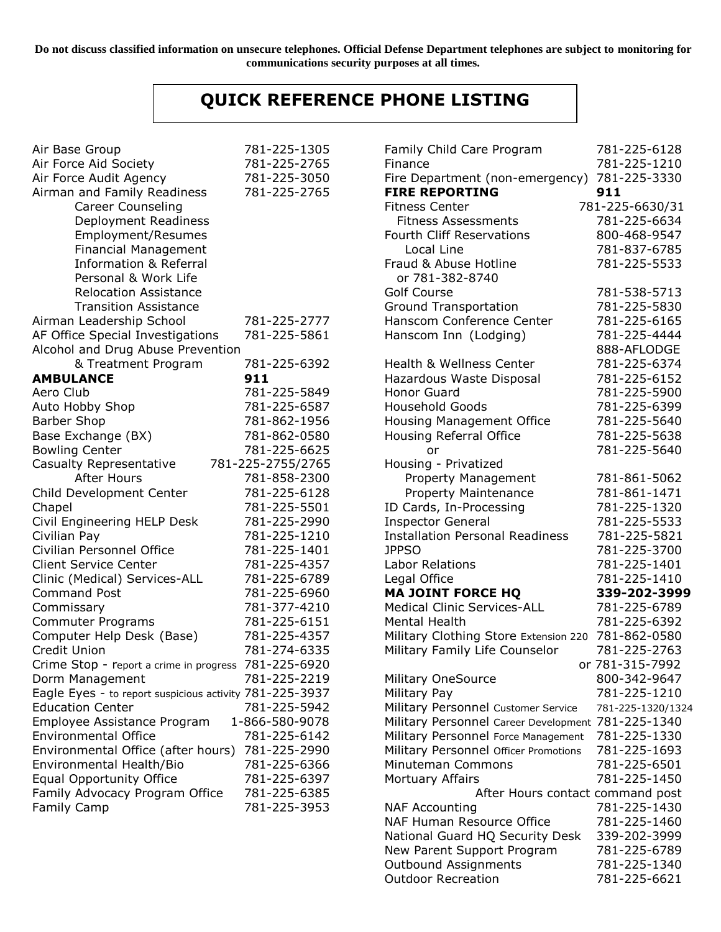**Do not discuss classified information on unsecure telephones. Official Defense Department telephones are subject to monitoring for communications security purposes at all times.**

## **QUICK REFERENCE PHONE LISTING**

| Air Base Group                                          | 781-225-1305      |
|---------------------------------------------------------|-------------------|
| Air Force Aid Society                                   | 781-225-2765      |
| Air Force Audit Agency                                  | 781-225-3050      |
| Airman and Family Readiness                             | 781-225-2765      |
| <b>Career Counseling</b>                                |                   |
| Deployment Readiness                                    |                   |
| Employment/Resumes                                      |                   |
| <b>Financial Management</b>                             |                   |
| <b>Information &amp; Referral</b>                       |                   |
| Personal & Work Life                                    |                   |
| <b>Relocation Assistance</b>                            |                   |
| <b>Transition Assistance</b>                            |                   |
| Airman Leadership School                                | 781-225-2777      |
|                                                         | 781-225-5861      |
| AF Office Special Investigations                        |                   |
| Alcohol and Drug Abuse Prevention                       |                   |
| & Treatment Program                                     | 781-225-6392      |
| <b>AMBULANCE</b>                                        | 911               |
| Aero Club                                               | 781-225-5849      |
| Auto Hobby Shop                                         | 781-225-6587      |
| <b>Barber Shop</b>                                      | 781-862-1956      |
| Base Exchange (BX)                                      | 781-862-0580      |
| <b>Bowling Center</b>                                   | 781-225-6625      |
| Casualty Representative                                 | 781-225-2755/2765 |
| <b>After Hours</b>                                      | 781-858-2300      |
| Child Development Center                                | 781-225-6128      |
| Chapel                                                  | 781-225-5501      |
| Civil Engineering HELP Desk                             | 781-225-2990      |
| Civilian Pay                                            | 781-225-1210      |
| Civilian Personnel Office                               | 781-225-1401      |
| <b>Client Service Center</b>                            | 781-225-4357      |
| Clinic (Medical) Services-ALL                           | 781-225-6789      |
| <b>Command Post</b>                                     | 781-225-6960      |
| Commissary                                              | 781-377-4210      |
| <b>Commuter Programs</b>                                | 781-225-6151      |
| Computer Help Desk (Base)                               | 781-225-4357      |
| Credit Union                                            | 781-274-6335      |
| Crime Stop - report a crime in progress                 | 781-225-6920      |
| Dorm Management                                         | 781-225-2219      |
| Eagle Eyes - to report suspicious activity 781-225-3937 |                   |
| <b>Education Center</b>                                 | 781-225-5942      |
| Employee Assistance Program                             | 1-866-580-9078    |
| <b>Environmental Office</b>                             | 781-225-6142      |
| Environmental Office (after hours)                      | 781-225-2990      |
| Environmental Health/Bio                                | 781-225-6366      |
| <b>Equal Opportunity Office</b>                         | 781-225-6397      |
| Family Advocacy Program Office                          | 781-225-6385      |
| <b>Family Camp</b>                                      | 781-225-3953      |
|                                                         |                   |

| Family Child Care Program                                  | 781-225-6128                 |
|------------------------------------------------------------|------------------------------|
| Finance                                                    | 781-225-1210                 |
| Fire Department (non-emergency)<br><b>FIRE REPORTING</b>   | 781-225-3330<br>911          |
| <b>Fitness Center</b>                                      | 781-225-6630/31              |
| <b>Fitness Assessments</b>                                 | 781-225-6634                 |
| <b>Fourth Cliff Reservations</b>                           | 800-468-9547                 |
| Local Line                                                 | 781-837-6785                 |
| Fraud & Abuse Hotline                                      | 781-225-5533                 |
| or 781-382-8740                                            |                              |
| <b>Golf Course</b>                                         | 781-538-5713                 |
| <b>Ground Transportation</b>                               | 781-225-5830                 |
| Hanscom Conference Center                                  | 781-225-6165                 |
| Hanscom Inn (Lodging)                                      | 781-225-4444                 |
|                                                            | 888-AFLODGE                  |
| <b>Health &amp; Wellness Center</b>                        | 781-225-6374                 |
| Hazardous Waste Disposal                                   | 781-225-6152                 |
| <b>Honor Guard</b>                                         | 781-225-5900                 |
| <b>Household Goods</b>                                     | 781-225-6399                 |
| <b>Housing Management Office</b>                           | 781-225-5640                 |
| Housing Referral Office                                    | 781-225-5638                 |
| or                                                         | 781-225-5640                 |
| Housing - Privatized                                       |                              |
| Property Management                                        | 781-861-5062                 |
| Property Maintenance                                       | 781-861-1471                 |
| ID Cards, In-Processing                                    | 781-225-1320                 |
| <b>Inspector General</b>                                   | 781-225-5533                 |
| <b>Installation Personal Readiness</b>                     | 781-225-5821                 |
| <b>JPPSO</b>                                               | 781-225-3700                 |
| <b>Labor Relations</b>                                     | 781-225-1401                 |
| Legal Office                                               | 781-225-1410                 |
| <b>MA JOINT FORCE HQ</b>                                   | 339-202-3999                 |
| <b>Medical Clinic Services-ALL</b>                         | 781-225-6789                 |
| <b>Mental Health</b>                                       | 781-225-6392                 |
| Military Clothing Store Extension 220                      | 781-862-0580                 |
| Military Family Life Counselor                             | 781-225-2763                 |
|                                                            | or 781-315-7992              |
| <b>Military OneSource</b>                                  | 800-342-9647                 |
| Military Pay                                               | 781-225-1210                 |
| Military Personnel Customer Service                        | 781-225-1320/1324            |
| Military Personnel Career Development                      | 781-225-1340                 |
| Military Personnel Force Management                        | 781-225-1330                 |
|                                                            | 781-225-1693                 |
| Military Personnel Officer Promotions<br>Minuteman Commons | 781-225-6501                 |
| Mortuary Affairs                                           | 781-225-1450                 |
|                                                            |                              |
| After Hours contact command post                           |                              |
| <b>NAF Accounting</b>                                      | 781-225-1430                 |
| <b>NAF Human Resource Office</b>                           | 781-225-1460                 |
| National Guard HQ Security Desk                            | 339-202-3999                 |
| New Parent Support Program                                 | 781-225-6789<br>781-225-1340 |
| Outbound Assignments                                       |                              |
| <b>Outdoor Recreation</b>                                  | 781-225-6621                 |